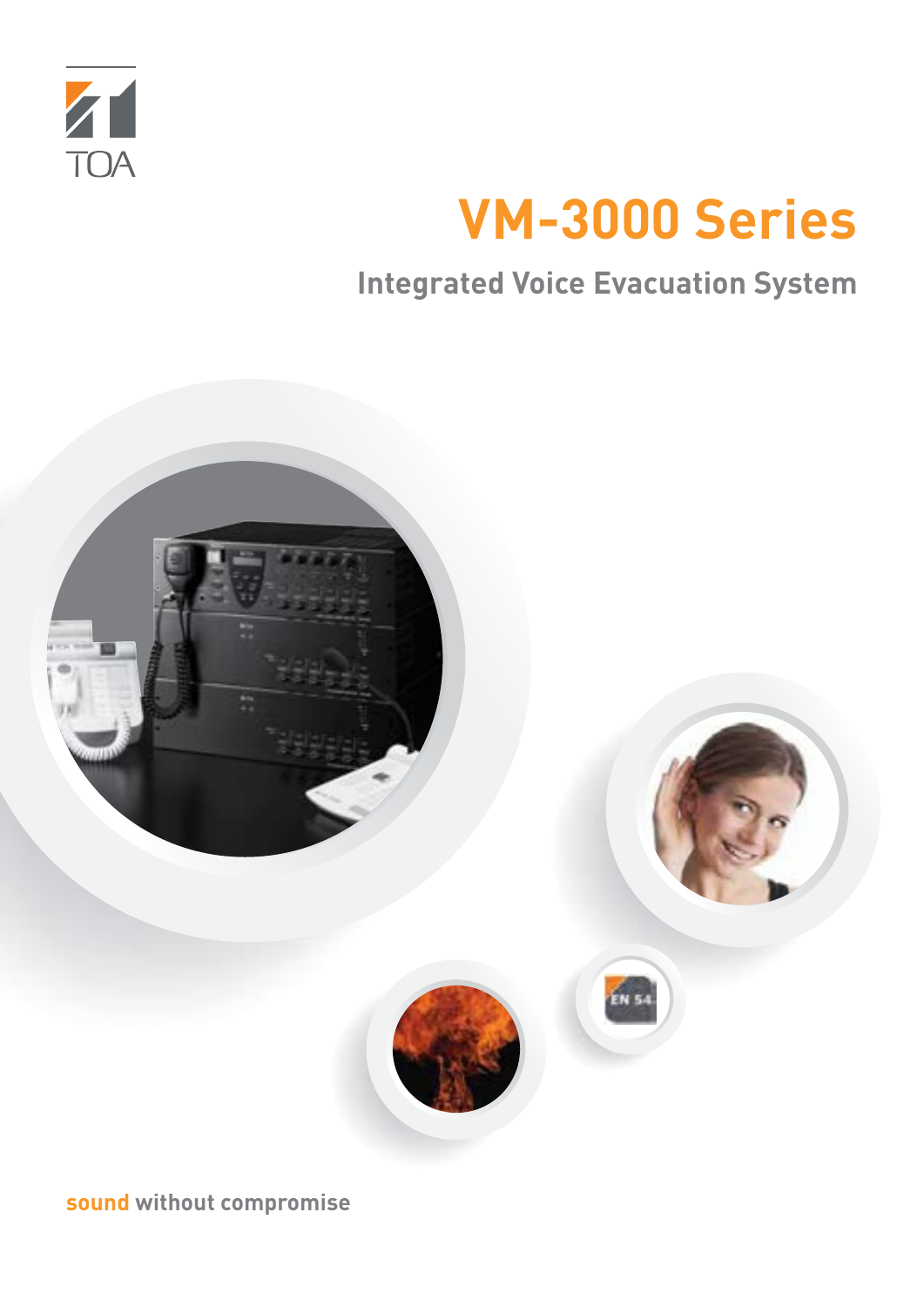

# **VM-3000 Series**

**Integrated Voice Evacuation System**



**sound without compromise**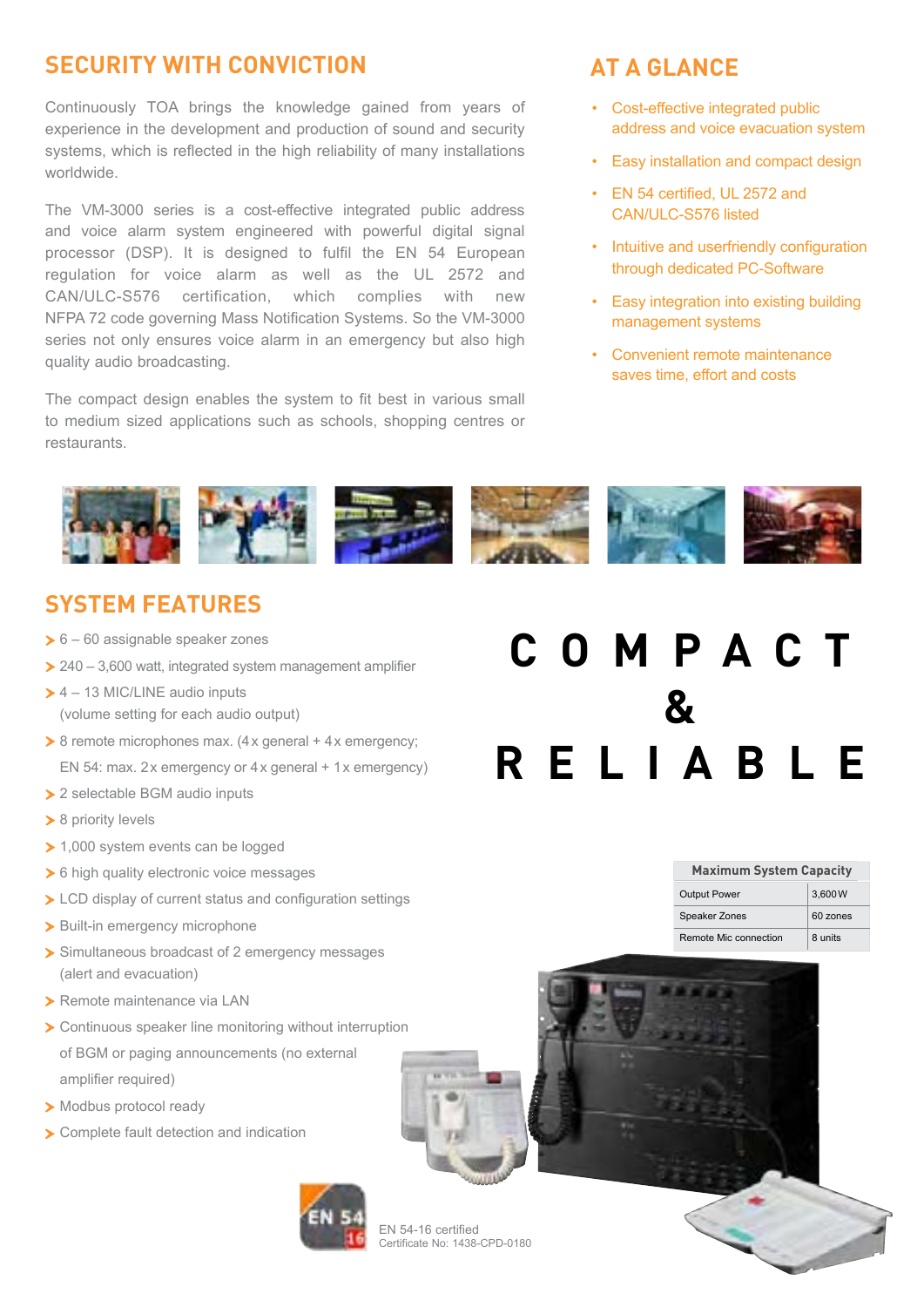### **SECURITY WITH CONVICTION AT A GLANCE**

Continuously TOA brings the knowledge gained from years of experience in the development and production of sound and security systems, which is reflected in the high reliability of many installations worldwide.

The VM-3000 series is a cost-effective integrated public address and voice alarm system engineered with powerful digital signal processor (DSP). It is designed to fulfil the EN 54 European regulation for voice alarm as well as the UL 2572 and CAN/ULC-S576 certification, which complies with new NFPA 72 code governing Mass Notification Systems. So the VM-3000 series not only ensures voice alarm in an emergency but also high quality audio broadcasting.

The compact design enables the system to fit best in various small to medium sized applications such as schools, shopping centres or restaurants.

- Cost-effective integrated public address and voice evacuation system
- Easy installation and compact design
- EN 54 certified, UL 2572 and CAN/ULC-S576 listed
- Intuitive and userfriendly configuration through dedicated PC-Software
- Easy integration into existing building management systems
- Convenient remote maintenance saves time, effort and costs



### **SYSTEM FEATURES**

- $\geq 6 60$  assignable speaker zones
- $\geq$  240 3,600 watt, integrated system management amplifier
- $\geq 4 13$  MIC/LINE audio inputs (volume setting for each audio output)
- $\geq 8$  remote microphones max. (4x general + 4x emergency; EN 54: max. 2x emergency or 4x general + 1x emergency)
- ▶ 2 selectable BGM audio inputs
- ▶ 8 priority levels
- ▶ 1,000 system events can be logged
- ▶ 6 high quality electronic voice messages
- > LCD display of current status and configuration settings
- > Built-in emergency microphone
- ▶ Simultaneous broadcast of 2 emergency messages (alert and evacuation)
- ▶ Remote maintenance via LAN
- > Continuous speaker line monitoring without interruption of BGM or paging announcements (no external amplifier required)
- Modbus protocol ready
- Complete fault detection and indication



#### EN 54-16 certified Certificate No: 1438-CPD-0180

## **COMPACT & RELIABLE**

| <b>Maximum System Capacity</b> |          |
|--------------------------------|----------|
| <b>Output Power</b>            | 3.600W   |
| <b>Speaker Zones</b>           | 60 zones |
| Remote Mic connection          | 8 units  |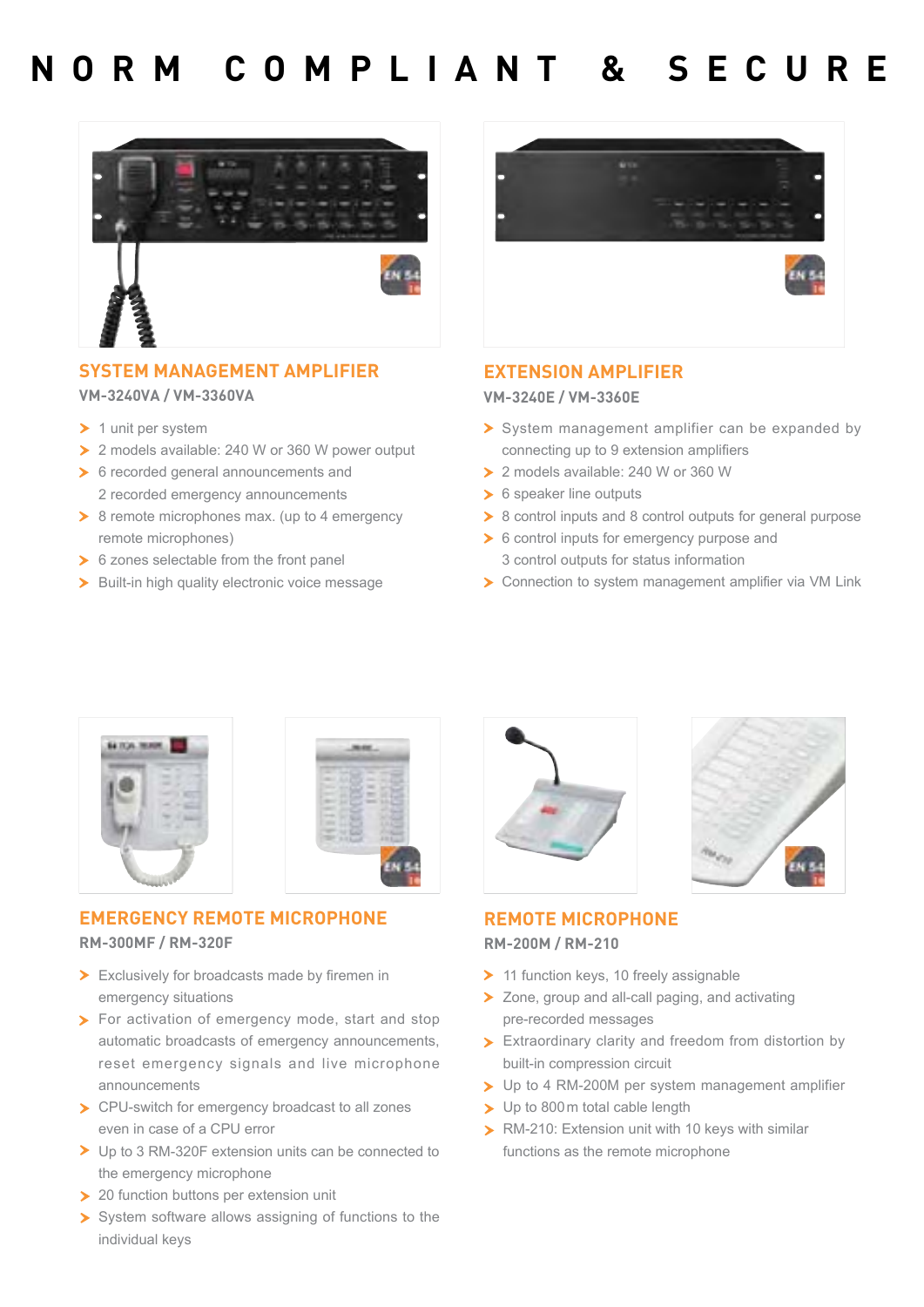### **NORM COMPLIANT & SECURE**



#### **SYSTEM MANAGEMENT AMPLIFIER VM-3240VA / VM-3360VA**

- $\blacktriangleright$  1 unit per system
- ▶ 2 models available: 240 W or 360 W power output
- ▶ 6 recorded general announcements and 2 recorded emergency announcements
- $\geq 8$  remote microphones max. (up to 4 emergency remote microphones)
- 6 zones selectable from the front panel
- > Built-in high quality electronic voice message



#### **EXTENSION AMPLIFIER**

**VM-3240E / VM-3360E**

- System management amplifier can be expanded by connecting up to 9 extension amplifiers
- ▶ 2 models available: 240 W or 360 W
- ▶ 6 speaker line outputs
- ▶ 8 control inputs and 8 control outputs for general purpose
- ▶ 6 control inputs for emergency purpose and 3 control outputs for status information
- ▶ Connection to system management amplifier via VM Link



|        | ٠                                                           | m<br>m<br>٠                                                         | <b>STATE</b>                |        |  |
|--------|-------------------------------------------------------------|---------------------------------------------------------------------|-----------------------------|--------|--|
| ٠<br>٠ |                                                             | <b>COLOR</b><br><b>TELES</b><br>- 3<br><b>STATE</b><br><b>THEFT</b> | <b>TELEVISION</b><br>٠<br>m | ٠<br>m |  |
|        | <b>STATISTICS</b><br><b>STATISTICS</b><br><b>TELEVISION</b> | <b>Windows</b><br>m<br>m                                            |                             | ō<br>Ì |  |
| I<br>× | <b>TELEVISION</b>                                           | <b>Bigger</b><br>n C<br>ı<br>. .                                    |                             | 1111   |  |

#### **EMERGENCY REMOTE MICROPHONE**

#### **RM-300MF / RM-320F**

- Exclusively for broadcasts made by firemen in emergency situations
- **For activation of emergency mode, start and stop** automatic broadcasts of emergency announcements, reset emergency signals and live microphone announcements
- ▶ CPU-switch for emergency broadcast to all zones even in case of a CPU error
- ▶ Up to 3 RM-320F extension units can be connected to the emergency microphone
- > 20 function buttons per extension unit
- System software allows assigning of functions to the individual keys





#### **REMOTE MICROPHONE RM-200M / RM-210**

- > 11 function keys, 10 freely assignable
- ▶ Zone, group and all-call paging, and activating pre-recorded messages
- Extraordinary clarity and freedom from distortion by built-in compression circuit
- ▶ Up to 4 RM-200M per system management amplifier
- > Up to 800 m total cable length
- **> RM-210: Extension unit with 10 keys with similar** functions as the remote microphone